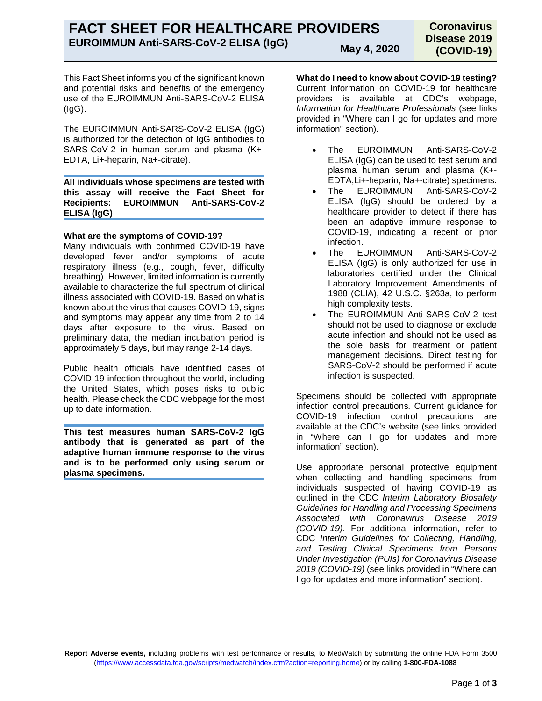This Fact Sheet informs you of the significant known and potential risks and benefits of the emergency use of the EUROIMMUN Anti-SARS-CoV-2 ELISA  $(IqG)$ .

The EUROIMMUN Anti-SARS-CoV-2 ELISA (IgG) is authorized for the detection of IgG antibodies to SARS-CoV-2 in human serum and plasma (K+- EDTA, Li+-heparin, Na+-citrate).

**All individuals whose specimens are tested with this assay will receive the Fact Sheet for Recipients: EUROIMMUN Anti-SARS-CoV-2 ELISA (IgG)**

# **What are the symptoms of COVID-19?**

Many individuals with confirmed COVID-19 have developed fever and/or symptoms of acute respiratory illness (e.g., cough, fever, difficulty breathing). However, limited information is currently available to characterize the full spectrum of clinical illness associated with COVID-19. Based on what is known about the virus that causes COVID-19, signs and symptoms may appear any time from 2 to 14 days after exposure to the virus. Based on preliminary data, the median incubation period is approximately 5 days, but may range 2-14 days.

Public health officials have identified cases of COVID-19 infection throughout the world, including the United States, which poses risks to public health. Please check the CDC webpage for the most up to date information.

**This test measures human SARS-CoV-2 IgG antibody that is generated as part of the adaptive human immune response to the virus and is to be performed only using serum or plasma specimens.**

**What do I need to know about COVID-19 testing?**

Current information on COVID-19 for healthcare providers is available at CDC's webpage, *Information for Healthcare Professionals* (see links provided in "Where can I go for updates and more information" section).

- The EUROIMMUN Anti-SARS-CoV-2 ELISA (IgG) can be used to test serum and plasma human serum and plasma (K+- EDTA,Li+-heparin, Na+-citrate) specimens.
- The EUROIMMUN Anti-SARS-CoV-2 ELISA (IgG) should be ordered by a healthcare provider to detect if there has been an adaptive immune response to COVID-19, indicating a recent or prior infection.
- The EUROIMMUN Anti-SARS-CoV-2 ELISA (IgG) is only authorized for use in laboratories certified under the Clinical Laboratory Improvement Amendments of 1988 (CLIA), 42 U.S.C. §263a, to perform high complexity tests.
- The EUROIMMUN Anti-SARS-CoV-2 test should not be used to diagnose or exclude acute infection and should not be used as the sole basis for treatment or patient management decisions. Direct testing for SARS-CoV-2 should be performed if acute infection is suspected.

Specimens should be collected with appropriate infection control precautions*.* Current guidance for COVID-19 infection control precautions are available at the CDC's website (see links provided in "Where can I go for updates and more information" section).

Use appropriate personal protective equipment when collecting and handling specimens from individuals suspected of having COVID-19 as outlined in the CDC *Interim Laboratory Biosafety Guidelines for Handling and Processing Specimens Associated with Coronavirus Disease 2019 (COVID-19)*. For additional information, refer to CDC *Interim Guidelines for Collecting, Handling, and Testing Clinical Specimens from Persons Under Investigation (PUIs) for Coronavirus Disease 2019 (COVID-19)* (see links provided in "Where can I go for updates and more information" section).

**Report Adverse events,** including problems with test performance or results, to MedWatch by submitting the online FDA Form 3500 [\(https://www.accessdata.fda.gov/scripts/medwatch/index.cfm?action=reporting.home\) o](https://www.accessdata.fda.gov/scripts/medwatch/index.cfm?action=reporting.home)r by calling **1-800-FDA-1088**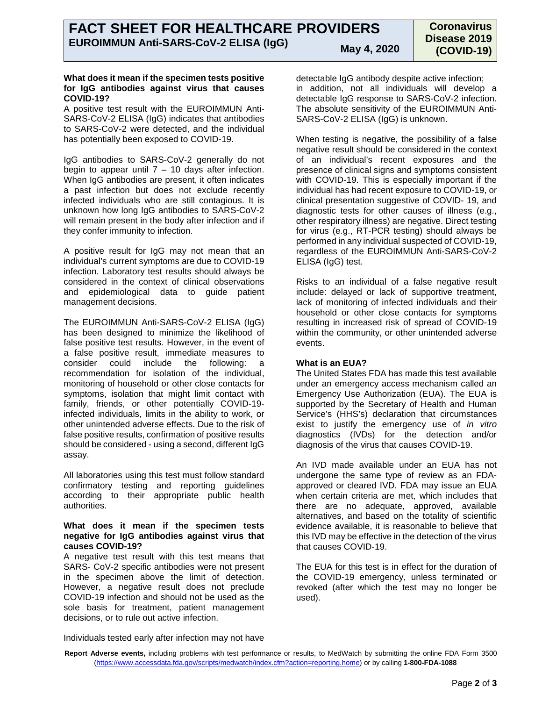## **What does it mean if the specimen tests positive for IgG antibodies against virus that causes COVID-19?**

A positive test result with the EUROIMMUN Anti-SARS-CoV-2 ELISA (IgG) indicates that antibodies to SARS-CoV-2 were detected, and the individual has potentially been exposed to COVID-19.

IgG antibodies to SARS-CoV-2 generally do not begin to appear until  $7 - 10$  days after infection. When IgG antibodies are present, it often indicates a past infection but does not exclude recently infected individuals who are still contagious. It is unknown how long IgG antibodies to SARS-CoV-2 will remain present in the body after infection and if they confer immunity to infection.

A positive result for IgG may not mean that an individual's current symptoms are due to COVID-19 infection. Laboratory test results should always be considered in the context of clinical observations and epidemiological data to guide patient management decisions.

The EUROIMMUN Anti-SARS-CoV-2 ELISA (IgG) has been designed to minimize the likelihood of false positive test results. However, in the event of a false positive result, immediate measures to consider could include the following: a recommendation for isolation of the individual, monitoring of household or other close contacts for symptoms, isolation that might limit contact with family, friends, or other potentially COVID-19 infected individuals, limits in the ability to work, or other unintended adverse effects. Due to the risk of false positive results, confirmation of positive results should be considered - using a second, different IgG assay.

All laboratories using this test must follow standard confirmatory testing and reporting guidelines according to their appropriate public health authorities.

## **What does it mean if the specimen tests negative for IgG antibodies against virus that causes COVID-19?**

A negative test result with this test means that SARS- CoV-2 specific antibodies were not present in the specimen above the limit of detection. However, a negative result does not preclude COVID-19 infection and should not be used as the sole basis for treatment, patient management decisions, or to rule out active infection.

detectable IgG antibody despite active infection; in addition, not all individuals will develop a detectable IgG response to SARS-CoV-2 infection. The absolute sensitivity of the EUROIMMUN Anti-SARS-CoV-2 ELISA (IgG) is unknown.

When testing is negative, the possibility of a false negative result should be considered in the context of an individual's recent exposures and the presence of clinical signs and symptoms consistent with COVID-19. This is especially important if the individual has had recent exposure to COVID-19, or clinical presentation suggestive of COVID- 19, and diagnostic tests for other causes of illness (e.g., other respiratory illness) are negative. Direct testing for virus (e.g., RT-PCR testing) should always be performed in any individual suspected of COVID-19, regardless of the EUROIMMUN Anti-SARS-CoV-2 ELISA (IgG) test.

Risks to an individual of a false negative result include: delayed or lack of supportive treatment, lack of monitoring of infected individuals and their household or other close contacts for symptoms resulting in increased risk of spread of COVID-19 within the community, or other unintended adverse events.

# **What is an EUA?**

The United States FDA has made this test available under an emergency access mechanism called an Emergency Use Authorization (EUA). The EUA is supported by the Secretary of Health and Human Service's (HHS's) declaration that circumstances exist to justify the emergency use of *in vitro* diagnostics (IVDs) for the detection and/or diagnosis of the virus that causes COVID-19.

An IVD made available under an EUA has not undergone the same type of review as an FDAapproved or cleared IVD. FDA may issue an EUA when certain criteria are met, which includes that there are no adequate, approved, available alternatives, and based on the totality of scientific evidence available, it is reasonable to believe that this IVD may be effective in the detection of the virus that causes COVID-19.

The EUA for this test is in effect for the duration of the COVID-19 emergency, unless terminated or revoked (after which the test may no longer be used).

Individuals tested early after infection may not have

**Report Adverse events,** including problems with test performance or results, to MedWatch by submitting the online FDA Form 3500 [\(https://www.accessdata.fda.gov/scripts/medwatch/index.cfm?action=reporting.home\) o](https://www.accessdata.fda.gov/scripts/medwatch/index.cfm?action=reporting.home)r by calling **1-800-FDA-1088**